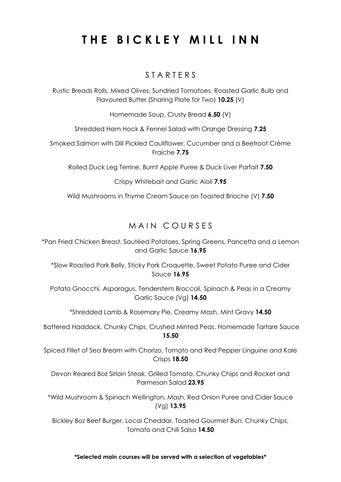# **THE BICKLEY MILL INN**

### S T A R T E R S

Rustic Breads Rolls, Mixed Olives, Sundried Tomatoes, Roasted Garlic Bulb and Flavoured Butter (Sharing Plate for Two) **10.25** (V)

Homemade Soup, Crusty Bread **6.50** (V)

Shredded Ham Hock & Fennel Salad with Orange Dressing **7.25**

Smoked Salmon with Dill Pickled Cauliflower, Cucumber and a Beetroot Crème Fraiche **7.75**

Rolled Duck Leg Terrine, Burnt Apple Puree & Duck Liver Parfait **7.50**

Crispy Whitebait and Garlic Aioli **7.95**

Wild Mushrooms in Thyme Cream Sauce on Toasted Brioche (V) **7.50**

## MAIN COURSES

\*Pan Fried Chicken Breast, Sautéed Potatoes, Spring Greens, Pancetta and a Lemon and Garlic Sauce **16.95**

\*Slow Roasted Pork Belly, Sticky Pork Croquette, Sweet Potato Puree and Cider Sauce **16.95**

Potato Gnocchi, Asparagus, Tenderstem Broccoli, Spinach & Peas in a Creamy Garlic Sauce (Vg) **14.50**

\*Shredded Lamb & Rosemary Pie, Creamy Mash, Mint Gravy **14.50**

Battered Haddock, Chunky Chips, Crushed Minted Peas, Homemade Tartare Sauce **15.50**

Spiced Fillet of Sea Bream with Chorizo, Tomato and Red Pepper Linguine and Kale Crisps **18.50**

Devon Reared 8oz Sirloin Steak, Grilled Tomato, Chunky Chips and Rocket and Parmesan Salad **23.95**

\*Wild Mushroom & Spinach Wellington, Mash, Red Onion Puree and Cider Sauce (Vg) **13.95**

Bickley 8oz Beef Burger, Local Cheddar, Toasted Gourmet Bun, Chunky Chips, Tomato and Chili Salsa **14.50**